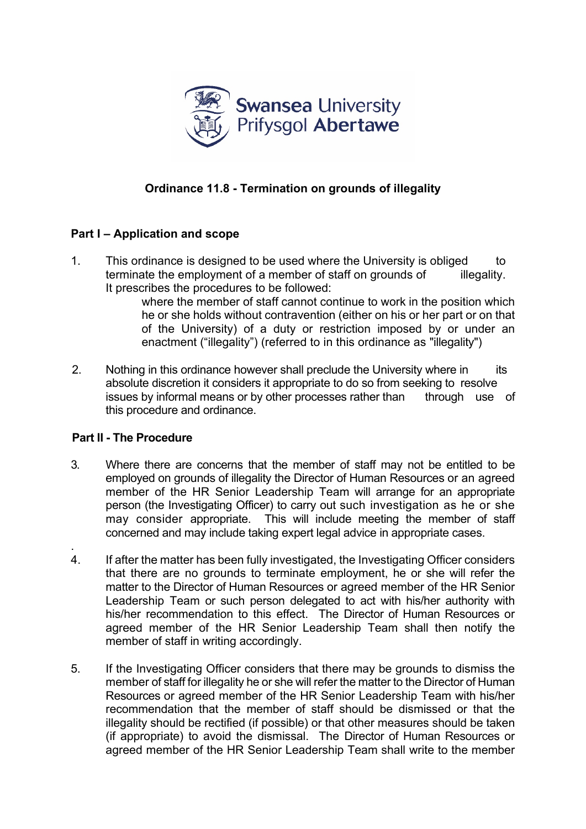

## **Ordinance 11.8 - Termination on grounds of illegality**

## **Part I – Application and scope**

1. This ordinance is designed to be used where the University is obliged to terminate the employment of a member of staff on grounds of illegality. It prescribes the procedures to be followed:

where the member of staff cannot continue to work in the position which he or she holds without contravention (either on his or her part or on that of the University) of a duty or restriction imposed by or under an enactment ("illegality") (referred to in this ordinance as "illegality")

2. Nothing in this ordinance however shall preclude the University where in its absolute discretion it considers it appropriate to do so from seeking to resolve issues by informal means or by other processes rather than through use of this procedure and ordinance.

## **Part II - The Procedure**

- 3. Where there are concerns that the member of staff may not be entitled to be employed on grounds of illegality the Director of Human Resources or an agreed member of the HR Senior Leadership Team will arrange for an appropriate person (the Investigating Officer) to carry out such investigation as he or she may consider appropriate. This will include meeting the member of staff concerned and may include taking expert legal advice in appropriate cases.
- . 4. If after the matter has been fully investigated, the Investigating Officer considers that there are no grounds to terminate employment, he or she will refer the matter to the Director of Human Resources or agreed member of the HR Senior Leadership Team or such person delegated to act with his/her authority with his/her recommendation to this effect. The Director of Human Resources or agreed member of the HR Senior Leadership Team shall then notify the member of staff in writing accordingly.
- 5. If the Investigating Officer considers that there may be grounds to dismiss the member of staff for illegality he or she will refer the matter to the Director of Human Resources or agreed member of the HR Senior Leadership Team with his/her recommendation that the member of staff should be dismissed or that the illegality should be rectified (if possible) or that other measures should be taken (if appropriate) to avoid the dismissal. The Director of Human Resources or agreed member of the HR Senior Leadership Team shall write to the member